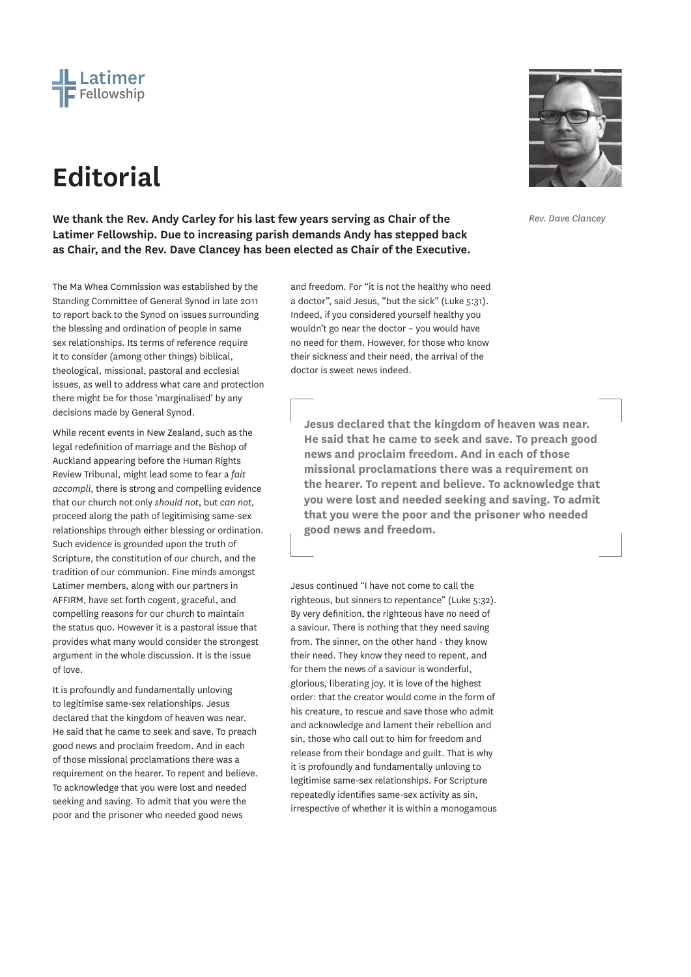

## **Editorial**

**We thank the Rev. Andy Carley for his last few years serving as Chair of the Latimer Fellowship. Due to increasing parish demands Andy has stepped back as Chair, and the Rev. Dave Clancey has been elected as Chair of the Executive.**

The Ma Whea Commission was established by the Standing Committee of General Synod in late 2011 to report back to the Synod on issues surrounding the blessing and ordination of people in same sex relationships. Its terms of reference require it to consider (among other things) biblical, theological, missional, pastoral and ecclesial issues, as well to address what care and protection there might be for those 'marginalised' by any decisions made by General Synod.

While recent events in New Zealand, such as the legal redefinition of marriage and the Bishop of Auckland appearing before the Human Rights Review Tribunal, might lead some to fear a *fait accompli*, there is strong and compelling evidence that our church not only *should not*, but *can not*, proceed along the path of legitimising same-sex relationships through either blessing or ordination. Such evidence is grounded upon the truth of Scripture, the constitution of our church, and the tradition of our communion. Fine minds amongst Latimer members, along with our partners in AFFIRM, have set forth cogent, graceful, and compelling reasons for our church to maintain the status quo. However it is a pastoral issue that provides what many would consider the strongest argument in the whole discussion. It is the issue of love.

It is profoundly and fundamentally unloving to legitimise same-sex relationships. Jesus declared that the kingdom of heaven was near. He said that he came to seek and save. To preach good news and proclaim freedom. And in each of those missional proclamations there was a requirement on the hearer. To repent and believe. To acknowledge that you were lost and needed seeking and saving. To admit that you were the poor and the prisoner who needed good news

and freedom. For "it is not the healthy who need a doctor", said Jesus, "but the sick" (Luke 5:31). Indeed, if you considered yourself healthy you wouldn't go near the doctor – you would have no need for them. However, for those who know their sickness and their need, the arrival of the doctor is sweet news indeed.

**Jesus declared that the kingdom of heaven was near. He said that he came to seek and save. To preach good news and proclaim freedom. And in each of those missional proclamations there was a requirement on the hearer. To repent and believe. To acknowledge that you were lost and needed seeking and saving. To admit that you were the poor and the prisoner who needed good news and freedom.**

Jesus continued "I have not come to call the righteous, but sinners to repentance" (Luke 5:32). By very definition, the righteous have no need of a saviour. There is nothing that they need saving from. The sinner, on the other hand - they know their need. They know they need to repent, and for them the news of a saviour is wonderful, glorious, liberating joy. It is love of the highest order: that the creator would come in the form of his creature, to rescue and save those who admit and acknowledge and lament their rebellion and sin, those who call out to him for freedom and release from their bondage and guilt. That is why it is profoundly and fundamentally unloving to legitimise same-sex relationships. For Scripture repeatedly identifies same-sex activity as sin, irrespective of whether it is within a monogamous



*Rev. Dave Clancey*